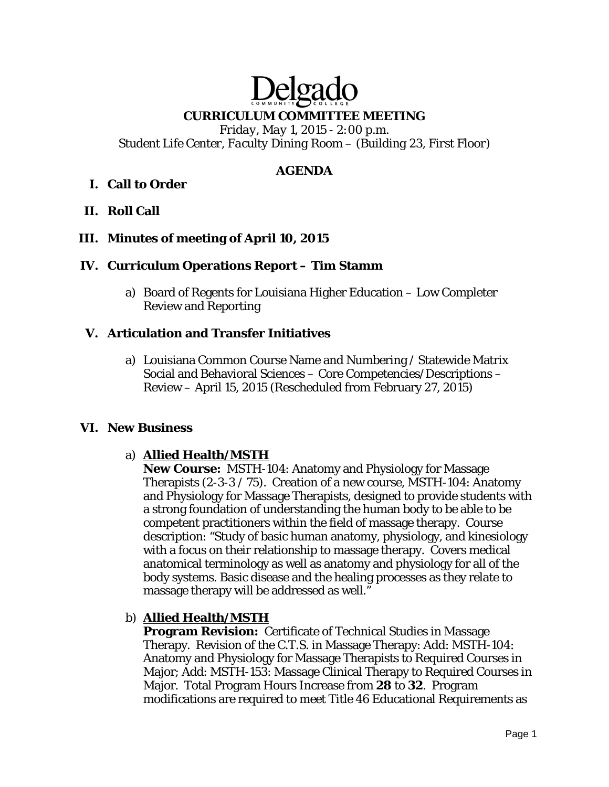# Delga **CURRICULUM COMMITTEE MEETING**

*Friday, May 1, 2015 - 2:00 p.m. Student Life Center, Faculty Dining Room – (Building 23, First Floor)* 

# **AGENDA**

# **I. Call to Order**

# **II. Roll Call**

# **III. Minutes of meeting of April 10, 2015**

# **IV. Curriculum Operations Report – Tim Stamm**

a) Board of Regents for Louisiana Higher Education – Low Completer Review and Reporting

# **V. Articulation and Transfer Initiatives**

a) Louisiana Common Course Name and Numbering / Statewide Matrix Social and Behavioral Sciences – Core Competencies/Descriptions – Review – April 15, 2015 (Rescheduled from February 27, 2015)

# **VI. New Business**

# a) **Allied Health/MSTH**

**New Course:** MSTH-104: Anatomy and Physiology for Massage Therapists (2-3-3 / 75). Creation of a new course, MSTH-104: Anatomy and Physiology for Massage Therapists, designed to provide students with a strong foundation of understanding the human body to be able to be competent practitioners within the field of massage therapy. Course description: "Study of basic human anatomy, physiology, and kinesiology with a focus on their relationship to massage therapy. Covers medical anatomical terminology as well as anatomy and physiology for all of the body systems. Basic disease and the healing processes as they relate to massage therapy will be addressed as well."

# b) **Allied Health/MSTH**

**Program Revision:** Certificate of Technical Studies in Massage Therapy. Revision of the C.T.S. in Massage Therapy: Add: MSTH-104: Anatomy and Physiology for Massage Therapists to Required Courses in Major; Add: MSTH-153: Massage Clinical Therapy to Required Courses in Major. Total Program Hours Increase *from* **28** *to* **32**. Program modifications are required to meet Title 46 Educational Requirements as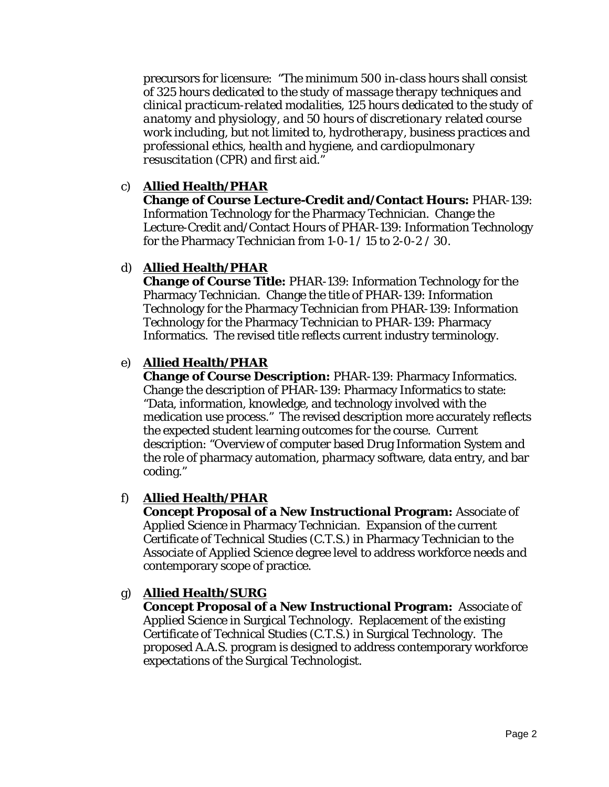precursors for licensure: "*The minimum 500 in-class hours shall consist of 325 hours dedicated to the study of massage therapy techniques and clinical practicum-related modalities, 125 hours dedicated to the study of anatomy and physiology, and 50 hours of discretionary related course work including, but not limited to, hydrotherapy, business practices and professional ethics, health and hygiene, and cardiopulmonary resuscitation (CPR) and first aid."*

# c) **Allied Health/PHAR**

**Change of Course Lecture-Credit and/Contact Hours:** PHAR-139: Information Technology for the Pharmacy Technician. Change the Lecture-Credit and/Contact Hours of PHAR-139: Information Technology for the Pharmacy Technician *from* 1-0-1 / 15 *to* 2-0-2 / 30.

# d) **Allied Health/PHAR**

**Change of Course Title:** PHAR-139: Information Technology for the Pharmacy Technician. Change the title of PHAR-139: Information Technology for the Pharmacy Technician *from* PHAR-139: Information Technology for the Pharmacy Technician *to* PHAR-139: Pharmacy Informatics. The revised title reflects current industry terminology.

# e) **Allied Health/PHAR**

**Change of Course Description:** PHAR-139: Pharmacy Informatics. Change the description of PHAR-139: Pharmacy Informatics to state: "Data, information, knowledge, and technology involved with the medication use process." The revised description more accurately reflects the expected student learning outcomes for the course. Current description: "Overview of computer based Drug Information System and the role of pharmacy automation, pharmacy software, data entry, and bar coding."

# f) **Allied Health/PHAR**

**Concept Proposal of a New Instructional Program:** Associate of Applied Science in Pharmacy Technician. Expansion of the current Certificate of Technical Studies (C.T.S.) in Pharmacy Technician to the Associate of Applied Science degree level to address workforce needs and contemporary scope of practice.

# g) **Allied Health/SURG**

**Concept Proposal of a New Instructional Program:** Associate of Applied Science in Surgical Technology. Replacement of the existing Certificate of Technical Studies (C.T.S.) in Surgical Technology. The proposed A.A.S. program is designed to address contemporary workforce expectations of the Surgical Technologist.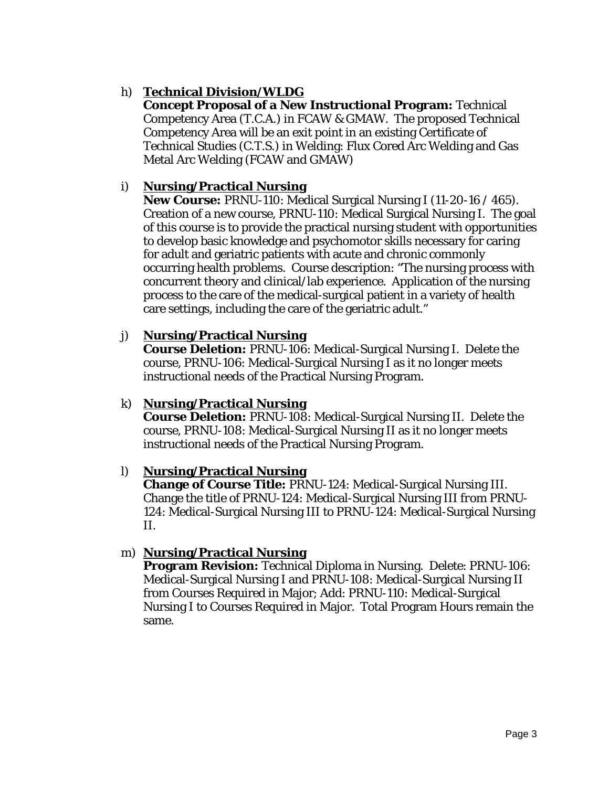# h) **Technical Division/WLDG**

**Concept Proposal of a New Instructional Program:** Technical Competency Area (T.C.A.) in FCAW & GMAW. The proposed Technical Competency Area will be an exit point in an existing Certificate of Technical Studies (C.T.S.) in Welding: Flux Cored Arc Welding and Gas Metal Arc Welding (FCAW and GMAW)

# i) **Nursing/Practical Nursing**

**New Course:** PRNU-110: Medical Surgical Nursing I (11-20-16 / 465). Creation of a new course, PRNU-110: Medical Surgical Nursing I. The goal of this course is to provide the practical nursing student with opportunities to develop basic knowledge and psychomotor skills necessary for caring for adult and geriatric patients with acute and chronic commonly occurring health problems. Course description: "The nursing process with concurrent theory and clinical/lab experience. Application of the nursing process to the care of the medical-surgical patient in a variety of health care settings, including the care of the geriatric adult."

# j) **Nursing/Practical Nursing**

**Course Deletion:** PRNU-106: Medical-Surgical Nursing I. Delete the course, PRNU-106: Medical-Surgical Nursing I as it no longer meets instructional needs of the Practical Nursing Program.

# k) **Nursing/Practical Nursing**

**Course Deletion:** PRNU-108: Medical-Surgical Nursing II. Delete the course, PRNU-108: Medical-Surgical Nursing II as it no longer meets instructional needs of the Practical Nursing Program.

# l) **Nursing/Practical Nursing**

**Change of Course Title:** PRNU-124: Medical-Surgical Nursing III. Change the title of PRNU-124: Medical-Surgical Nursing III *from* PRNU-124: Medical-Surgical Nursing III *to* PRNU-124: Medical-Surgical Nursing II.

# m) **Nursing/Practical Nursing**

**Program Revision:** Technical Diploma in Nursing. Delete: PRNU-106: Medical-Surgical Nursing I and PRNU-108: Medical-Surgical Nursing II from Courses Required in Major; Add: PRNU-110: Medical-Surgical Nursing I to Courses Required in Major. Total Program Hours remain the same.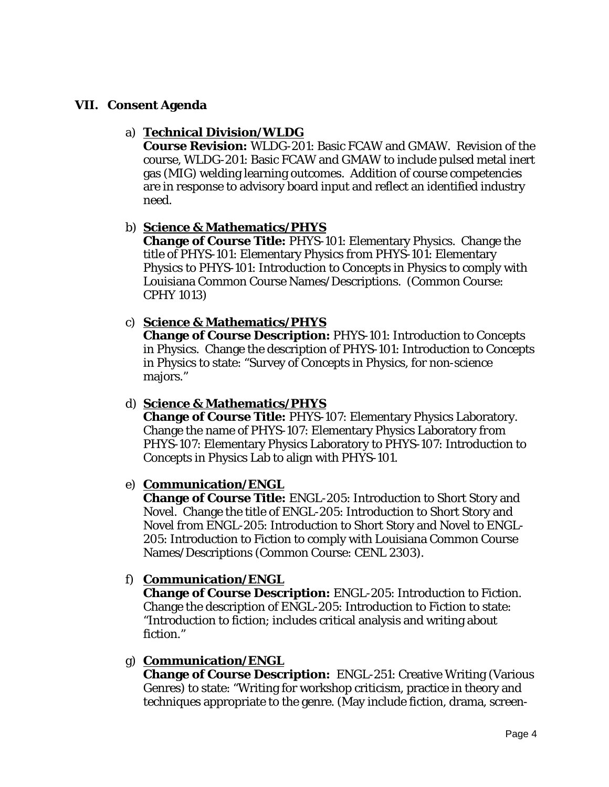# **VII. Consent Agenda**

#### a) **Technical Division/WLDG**

**Course Revision:** WLDG-201: Basic FCAW and GMAW. Revision of the course, WLDG-201: Basic FCAW and GMAW to include pulsed metal inert gas (MIG) welding learning outcomes. Addition of course competencies are in response to advisory board input and reflect an identified industry need.

# b) **Science & Mathematics/PHYS**

**Change of Course Title:** PHYS-101: Elementary Physics. Change the title of PHYS-101: Elementary Physics *from* PHYS-101: Elementary Physics *to* PHYS-101: Introduction to Concepts in Physics to comply with Louisiana Common Course Names/Descriptions. (Common Course: CPHY 1013)

# c) **Science & Mathematics/PHYS**

**Change of Course Description:** PHYS-101: Introduction to Concepts in Physics. Change the description of PHYS-101: Introduction to Concepts in Physics to state: "Survey of Concepts in Physics, for non-science majors."

# d) **Science & Mathematics/PHYS**

**Change of Course Title:** PHYS-107: Elementary Physics Laboratory. Change the name of PHYS-107: Elementary Physics Laboratory *from*  PHYS-107: Elementary Physics Laboratory *to* PHYS-107: Introduction to Concepts in Physics Lab to align with PHYS-101.

# e) **Communication/ENGL**

**Change of Course Title:** ENGL-205: Introduction to Short Story and Novel. Change the title of ENGL-205: Introduction to Short Story and Novel *from* ENGL-205: Introduction to Short Story and Novel *to* ENGL-205: Introduction to Fiction to comply with Louisiana Common Course Names/Descriptions (Common Course: CENL 2303).

# f) **Communication/ENGL**

**Change of Course Description:** ENGL-205: Introduction to Fiction. Change the description of ENGL-205: Introduction to Fiction to state: "Introduction to fiction; includes critical analysis and writing about fiction."

# g) **Communication/ENGL**

**Change of Course Description:** ENGL-251: Creative Writing (Various Genres) to state: "Writing for workshop criticism, practice in theory and techniques appropriate to the genre. (May include fiction, drama, screen